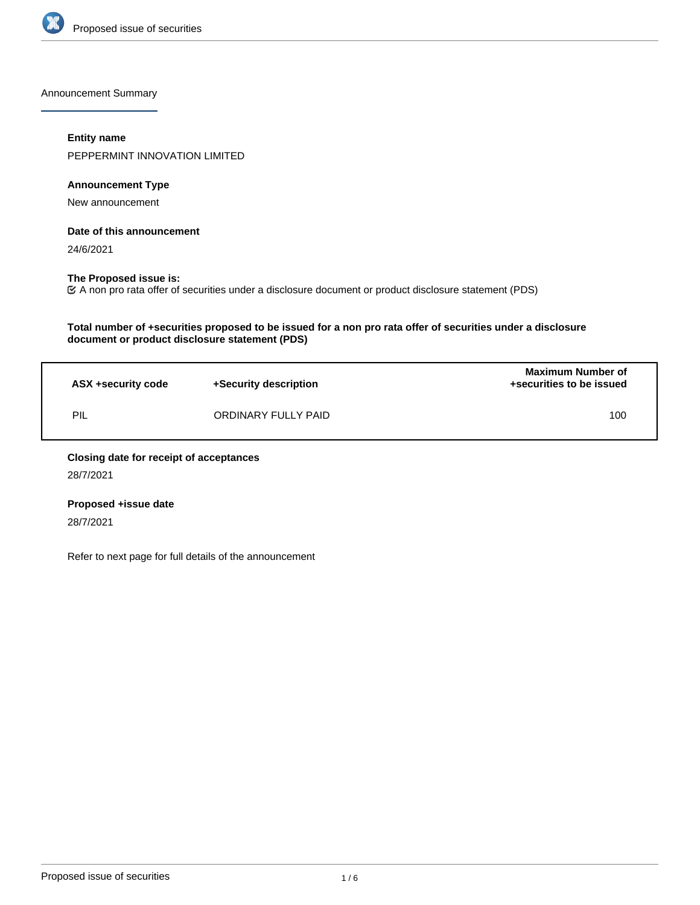

Announcement Summary

## **Entity name**

PEPPERMINT INNOVATION LIMITED

# **Announcement Type**

New announcement

# **Date of this announcement**

24/6/2021

# **The Proposed issue is:**

A non pro rata offer of securities under a disclosure document or product disclosure statement (PDS)

# **Total number of +securities proposed to be issued for a non pro rata offer of securities under a disclosure document or product disclosure statement (PDS)**

| ASX +security code | +Security description | <b>Maximum Number of</b><br>+securities to be issued |
|--------------------|-----------------------|------------------------------------------------------|
| PIL                | ORDINARY FULLY PAID   | 100                                                  |

# **Closing date for receipt of acceptances**

28/7/2021

# **Proposed +issue date**

28/7/2021

Refer to next page for full details of the announcement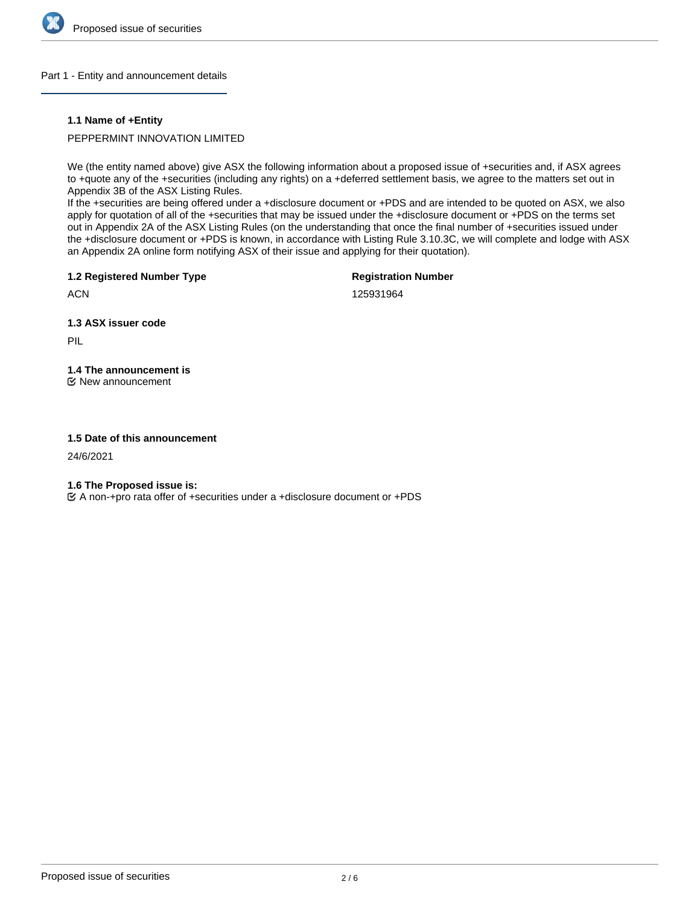

# Part 1 - Entity and announcement details

# **1.1 Name of +Entity**

PEPPERMINT INNOVATION LIMITED

We (the entity named above) give ASX the following information about a proposed issue of +securities and, if ASX agrees to +quote any of the +securities (including any rights) on a +deferred settlement basis, we agree to the matters set out in Appendix 3B of the ASX Listing Rules.

If the +securities are being offered under a +disclosure document or +PDS and are intended to be quoted on ASX, we also apply for quotation of all of the +securities that may be issued under the +disclosure document or +PDS on the terms set out in Appendix 2A of the ASX Listing Rules (on the understanding that once the final number of +securities issued under the +disclosure document or +PDS is known, in accordance with Listing Rule 3.10.3C, we will complete and lodge with ASX an Appendix 2A online form notifying ASX of their issue and applying for their quotation).

**1.2 Registered Number Type**

**Registration Number**

**ACN** 

125931964

**1.3 ASX issuer code**

PIL

**1.4 The announcement is** New announcement

# **1.5 Date of this announcement**

24/6/2021

**1.6 The Proposed issue is:**

A non-+pro rata offer of +securities under a +disclosure document or +PDS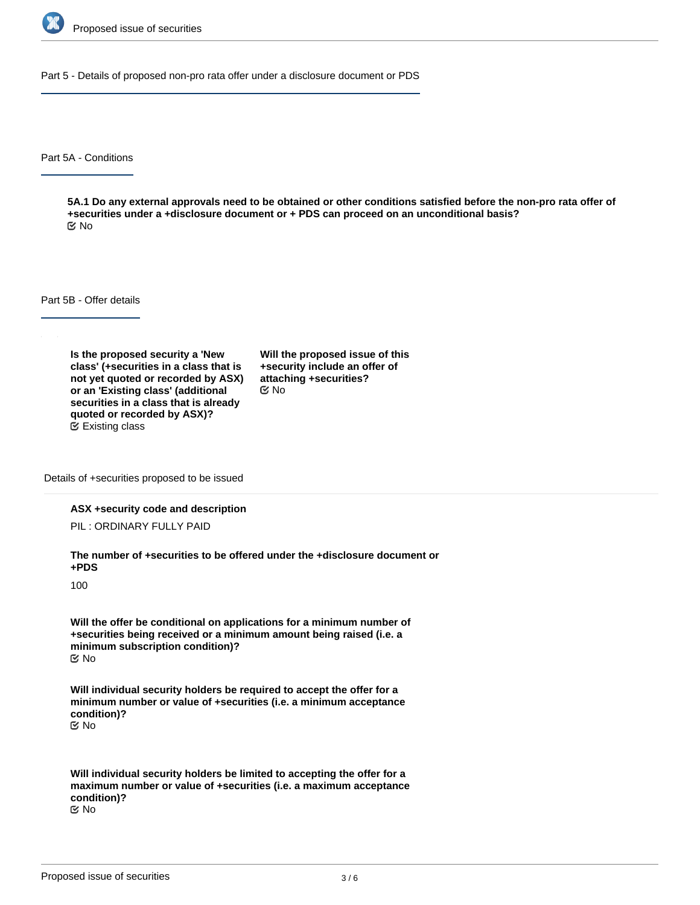

Part 5 - Details of proposed non-pro rata offer under a disclosure document or PDS

Part 5A - Conditions

**5A.1 Do any external approvals need to be obtained or other conditions satisfied before the non-pro rata offer of +securities under a +disclosure document or + PDS can proceed on an unconditional basis?** No

Part 5B - Offer details

**Is the proposed security a 'New class' (+securities in a class that is not yet quoted or recorded by ASX) or an 'Existing class' (additional securities in a class that is already quoted or recorded by ASX)?** Existing class

**Will the proposed issue of this +security include an offer of attaching +securities?** No

Details of +securities proposed to be issued

#### **ASX +security code and description**

PIL : ORDINARY FULLY PAID

**The number of +securities to be offered under the +disclosure document or +PDS**

100

**Will the offer be conditional on applications for a minimum number of +securities being received or a minimum amount being raised (i.e. a minimum subscription condition)?** No

**Will individual security holders be required to accept the offer for a minimum number or value of +securities (i.e. a minimum acceptance condition)?** No

**Will individual security holders be limited to accepting the offer for a maximum number or value of +securities (i.e. a maximum acceptance condition)?** No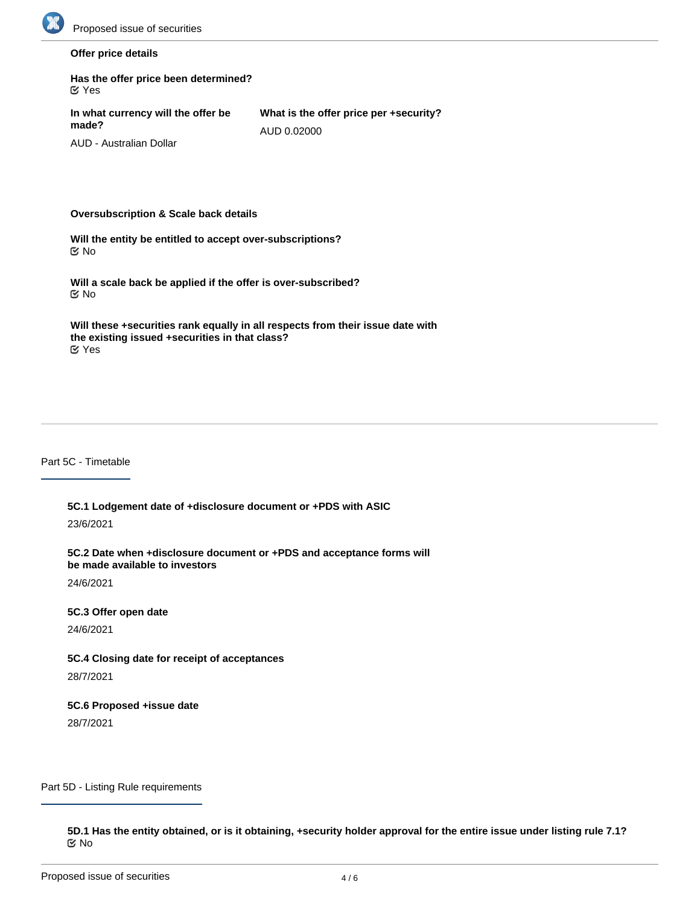

# **Offer price details**

| Has the offer price been determined?<br>$\alpha$ Yes |                                                       |
|------------------------------------------------------|-------------------------------------------------------|
| In what currency will the offer be<br>made?          | What is the offer price per +security?<br>AUD 0.02000 |
| AUD - Australian Dollar                              |                                                       |

#### **Oversubscription & Scale back details**

**Will the entity be entitled to accept over-subscriptions?** No

**Will a scale back be applied if the offer is over-subscribed?** No

**Will these +securities rank equally in all respects from their issue date with the existing issued +securities in that class?** Yes

#### Part 5C - Timetable

**5C.1 Lodgement date of +disclosure document or +PDS with ASIC**

23/6/2021

**5C.2 Date when +disclosure document or +PDS and acceptance forms will be made available to investors**

24/6/2021

#### **5C.3 Offer open date**

24/6/2021

# **5C.4 Closing date for receipt of acceptances**

28/7/2021

# **5C.6 Proposed +issue date**

28/7/2021

Part 5D - Listing Rule requirements

**5D.1 Has the entity obtained, or is it obtaining, +security holder approval for the entire issue under listing rule 7.1?** No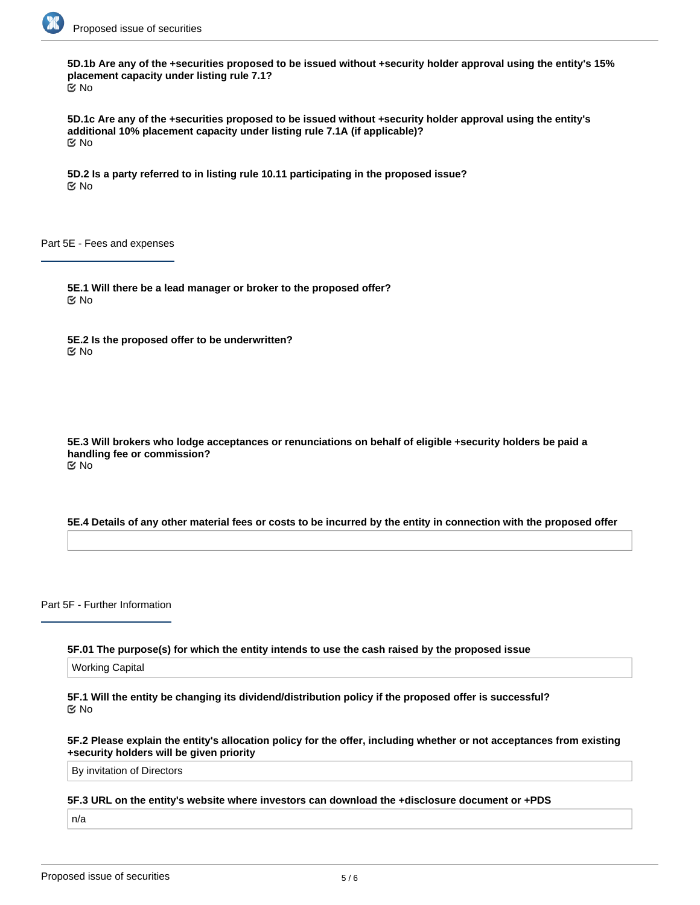

**5D.1b Are any of the +securities proposed to be issued without +security holder approval using the entity's 15% placement capacity under listing rule 7.1?** No

**5D.1c Are any of the +securities proposed to be issued without +security holder approval using the entity's additional 10% placement capacity under listing rule 7.1A (if applicable)?** No

**5D.2 Is a party referred to in listing rule 10.11 participating in the proposed issue?** No

Part 5E - Fees and expenses

**5E.1 Will there be a lead manager or broker to the proposed offer?** No

**5E.2 Is the proposed offer to be underwritten?** No

**5E.3 Will brokers who lodge acceptances or renunciations on behalf of eligible +security holders be paid a handling fee or commission?** No

#### **5E.4 Details of any other material fees or costs to be incurred by the entity in connection with the proposed offer**

Part 5F - Further Information

**5F.01 The purpose(s) for which the entity intends to use the cash raised by the proposed issue**

Working Capital

**5F.1 Will the entity be changing its dividend/distribution policy if the proposed offer is successful?** No

**5F.2 Please explain the entity's allocation policy for the offer, including whether or not acceptances from existing +security holders will be given priority**

By invitation of Directors

**5F.3 URL on the entity's website where investors can download the +disclosure document or +PDS**

n/a